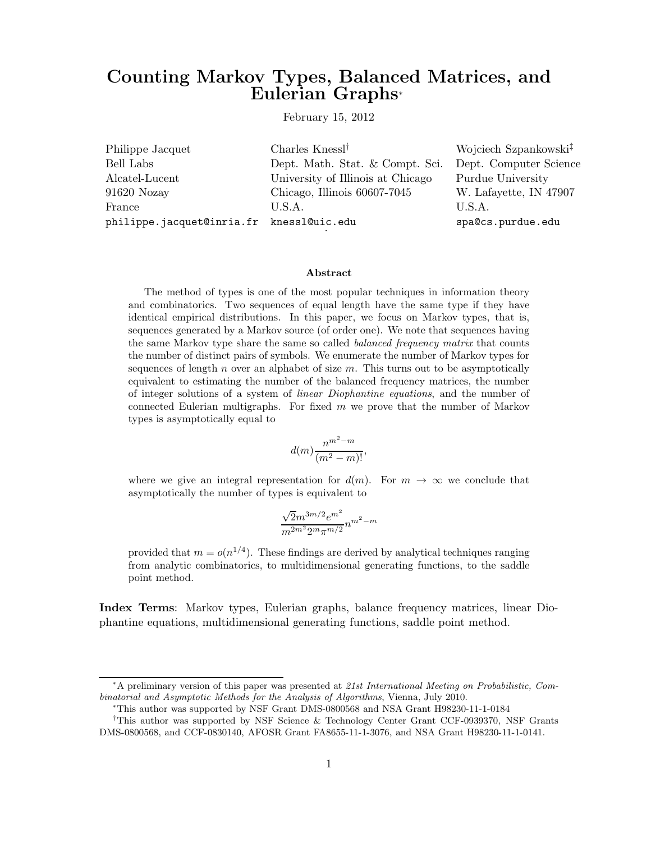# Counting Markov Types, Balanced Matrices, and Eulerian Graphs<sup>∗</sup>

February 15, 2012

| Philippe Jacquet                         | Charles Knessl <sup><math>\dagger</math></sup> | Wojciech Szpankowski <sup>‡</sup> |
|------------------------------------------|------------------------------------------------|-----------------------------------|
| Bell Labs                                | Dept. Math. Stat. & Compt. Sci.                | Dept. Computer Science            |
| Alcatel-Lucent                           | University of Illinois at Chicago              | Purdue University                 |
| 91620 Nozay                              | Chicago, Illinois 60607-7045                   | W. Lafayette, IN 47907            |
| France                                   | U.S.A.                                         | U.S.A.                            |
| philippe.jacquet@inria.fr knessl@uic.edu |                                                | spa@cs.purdue.edu                 |

#### Abstract

The method of types is one of the most popular techniques in information theory and combinatorics. Two sequences of equal length have the same type if they have identical empirical distributions. In this paper, we focus on Markov types, that is, sequences generated by a Markov source (of order one). We note that sequences having the same Markov type share the same so called balanced frequency matrix that counts the number of distinct pairs of symbols. We enumerate the number of Markov types for sequences of length  $n$  over an alphabet of size  $m$ . This turns out to be asymptotically equivalent to estimating the number of the balanced frequency matrices, the number of integer solutions of a system of linear Diophantine equations, and the number of connected Eulerian multigraphs. For fixed  $m$  we prove that the number of Markov types is asymptotically equal to

$$
d(m)\frac{n^{m^2-m}}{(m^2-m)!},
$$

where we give an integral representation for  $d(m)$ . For  $m \to \infty$  we conclude that asymptotically the number of types is equivalent to

$$
\frac{\sqrt{2}m^{3m/2}e^{m^2}}{m^{2m^2}2^m\pi^{m/2}}n^{m^2-m}
$$

provided that  $m = o(n^{1/4})$ . These findings are derived by analytical techniques ranging from analytic combinatorics, to multidimensional generating functions, to the saddle point method.

Index Terms: Markov types, Eulerian graphs, balance frequency matrices, linear Diophantine equations, multidimensional generating functions, saddle point method.

<sup>∗</sup>A preliminary version of this paper was presented at 21st International Meeting on Probabilistic, Combinatorial and Asymptotic Methods for the Analysis of Algorithms, Vienna, July 2010.

<sup>∗</sup>This author was supported by NSF Grant DMS-0800568 and NSA Grant H98230-11-1-0184

<sup>†</sup>This author was supported by NSF Science & Technology Center Grant CCF-0939370, NSF Grants DMS-0800568, and CCF-0830140, AFOSR Grant FA8655-11-1-3076, and NSA Grant H98230-11-1-0141.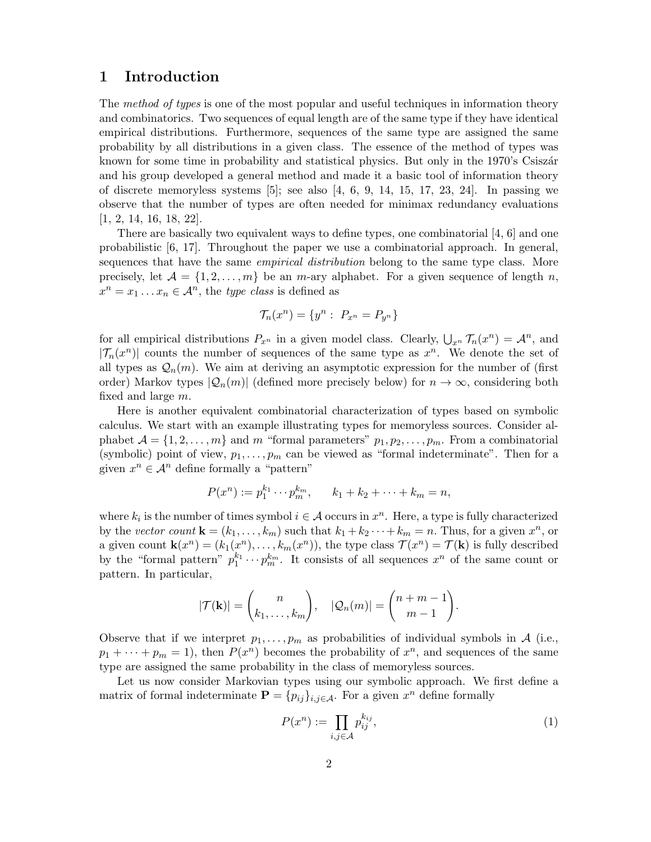# 1 Introduction

The method of types is one of the most popular and useful techniques in information theory and combinatorics. Two sequences of equal length are of the same type if they have identical empirical distributions. Furthermore, sequences of the same type are assigned the same probability by all distributions in a given class. The essence of the method of types was known for some time in probability and statistical physics. But only in the 1970's Csiszar and his group developed a general method and made it a basic tool of information theory of discrete memoryless systems  $[5]$ ; see also  $[4, 6, 9, 14, 15, 17, 23, 24]$ . In passing we observe that the number of types are often needed for minimax redundancy evaluations [1, 2, 14, 16, 18, 22].

There are basically two equivalent ways to define types, one combinatorial [4, 6] and one probabilistic [6, 17]. Throughout the paper we use a combinatorial approach. In general, sequences that have the same *empirical distribution* belong to the same type class. More precisely, let  $\mathcal{A} = \{1, 2, ..., m\}$  be an m-ary alphabet. For a given sequence of length n,  $x^n = x_1 \dots x_n \in \mathcal{A}^n$ , the *type class* is defined as

$$
\mathcal{T}_n(x^n) = \{y^n : \ P_{x^n} = P_{y^n}\}\
$$

for all empirical distributions  $P_{x^n}$  in a given model class. Clearly,  $\bigcup_{x^n} \mathcal{T}_n(x^n) = \mathcal{A}^n$ , and  $|\mathcal{T}_n(x^n)|$  counts the number of sequences of the same type as  $x^n$ . We denote the set of all types as  $\mathcal{Q}_n(m)$ . We aim at deriving an asymptotic expression for the number of (first order) Markov types  $|Q_n(m)|$  (defined more precisely below) for  $n \to \infty$ , considering both fixed and large m.

Here is another equivalent combinatorial characterization of types based on symbolic calculus. We start with an example illustrating types for memoryless sources. Consider alphabet  $\mathcal{A} = \{1, 2, \ldots, m\}$  and m "formal parameters"  $p_1, p_2, \ldots, p_m$ . From a combinatorial (symbolic) point of view,  $p_1, \ldots, p_m$  can be viewed as "formal indeterminate". Then for a given  $x^n \in \mathcal{A}^n$  define formally a "pattern"

$$
P(x^n) := p_1^{k_1} \cdots p_m^{k_m}, \qquad k_1 + k_2 + \cdots + k_m = n,
$$

where  $k_i$  is the number of times symbol  $i \in \mathcal{A}$  occurs in  $x^n$ . Here, a type is fully characterized by the vector count  $\mathbf{k} = (k_1, \dots, k_m)$  such that  $k_1 + k_2 \dots + k_m = n$ . Thus, for a given  $x^n$ , or a given count  $\mathbf{k}(x^n) = (k_1(x^n), \ldots, k_m(x^n))$ , the type class  $\mathcal{T}(x^n) = \mathcal{T}(\mathbf{k})$  is fully described by the "formal pattern"  $p_1^{k_1} \cdots p_m^{k_m}$ . It consists of all sequences  $x^n$  of the same count or pattern. In particular,

$$
|\mathcal{T}(\mathbf{k})| = \binom{n}{k_1,\ldots,k_m}, \quad |\mathcal{Q}_n(m)| = \binom{n+m-1}{m-1}.
$$

Observe that if we interpret  $p_1, \ldots, p_m$  as probabilities of individual symbols in A (i.e.,  $p_1 + \cdots + p_m = 1$ , then  $P(x^n)$  becomes the probability of  $x^n$ , and sequences of the same type are assigned the same probability in the class of memoryless sources.

Let us now consider Markovian types using our symbolic approach. We first define a matrix of formal indeterminate  $\mathbf{P} = \{p_{ij}\}_{i,j \in \mathcal{A}}$ . For a given  $x^n$  define formally

$$
P(x^n) := \prod_{i,j \in \mathcal{A}} p_{ij}^{k_{ij}},\tag{1}
$$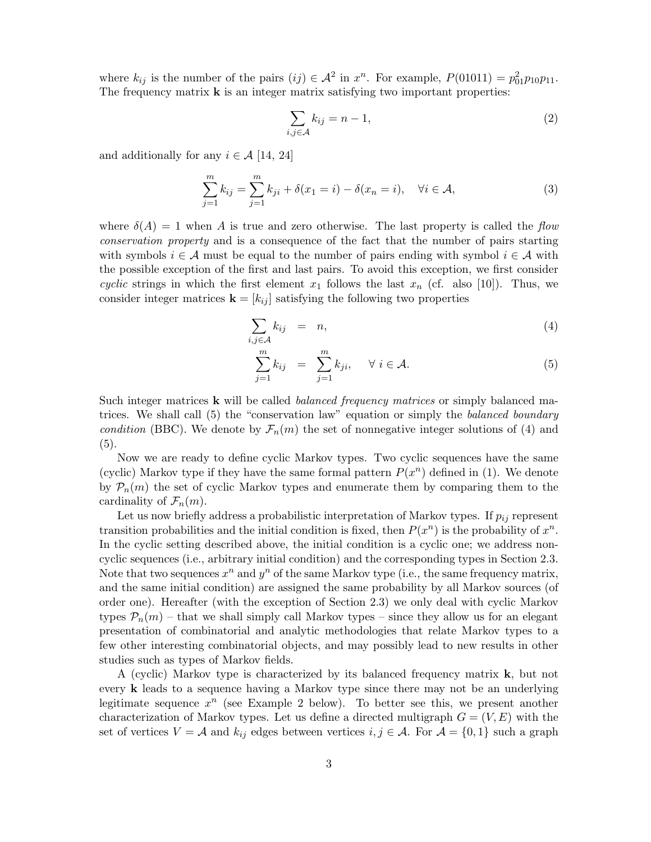where  $k_{ij}$  is the number of the pairs  $(ij) \in \mathcal{A}^2$  in  $x^n$ . For example,  $P(01011) = p_{01}^2 p_{10} p_{11}$ . The frequency matrix  $\bf{k}$  is an integer matrix satisfying two important properties:

$$
\sum_{i,j \in \mathcal{A}} k_{ij} = n - 1,\tag{2}
$$

and additionally for any  $i \in \mathcal{A}$  [14, 24]

$$
\sum_{j=1}^{m} k_{ij} = \sum_{j=1}^{m} k_{ji} + \delta(x_1 = i) - \delta(x_n = i), \quad \forall i \in \mathcal{A},
$$
\n(3)

where  $\delta(A) = 1$  when A is true and zero otherwise. The last property is called the flow conservation property and is a consequence of the fact that the number of pairs starting with symbols  $i \in \mathcal{A}$  must be equal to the number of pairs ending with symbol  $i \in \mathcal{A}$  with the possible exception of the first and last pairs. To avoid this exception, we first consider cyclic strings in which the first element  $x_1$  follows the last  $x_n$  (cf. also [10]). Thus, we consider integer matrices  $\mathbf{k} = [k_{ij}]$  satisfying the following two properties

$$
\sum_{i,j\in\mathcal{A}}k_{ij} = n,\tag{4}
$$

$$
\sum_{j=1}^{m} k_{ij} = \sum_{j=1}^{m} k_{ji}, \quad \forall i \in \mathcal{A}.
$$
 (5)

Such integer matrices **k** will be called *balanced frequency matrices* or simply balanced matrices. We shall call (5) the "conservation law" equation or simply the *balanced boundary* condition (BBC). We denote by  $\mathcal{F}_n(m)$  the set of nonnegative integer solutions of (4) and (5).

Now we are ready to define cyclic Markov types. Two cyclic sequences have the same (cyclic) Markov type if they have the same formal pattern  $P(x^n)$  defined in (1). We denote by  $\mathcal{P}_n(m)$  the set of cyclic Markov types and enumerate them by comparing them to the cardinality of  $\mathcal{F}_n(m)$ .

Let us now briefly address a probabilistic interpretation of Markov types. If  $p_{ij}$  represent transition probabilities and the initial condition is fixed, then  $P(x^n)$  is the probability of  $x^n$ . In the cyclic setting described above, the initial condition is a cyclic one; we address noncyclic sequences (i.e., arbitrary initial condition) and the corresponding types in Section 2.3. Note that two sequences  $x^n$  and  $y^n$  of the same Markov type (i.e., the same frequency matrix, and the same initial condition) are assigned the same probability by all Markov sources (of order one). Hereafter (with the exception of Section 2.3) we only deal with cyclic Markov types  $P_n(m)$  – that we shall simply call Markov types – since they allow us for an elegant presentation of combinatorial and analytic methodologies that relate Markov types to a few other interesting combinatorial objects, and may possibly lead to new results in other studies such as types of Markov fields.

A (cyclic) Markov type is characterized by its balanced frequency matrix  $\bf{k}$ , but not every k leads to a sequence having a Markov type since there may not be an underlying legitimate sequence  $x^n$  (see Example 2 below). To better see this, we present another characterization of Markov types. Let us define a directed multigraph  $G = (V, E)$  with the set of vertices  $V = A$  and  $k_{ij}$  edges between vertices  $i, j \in A$ . For  $A = \{0, 1\}$  such a graph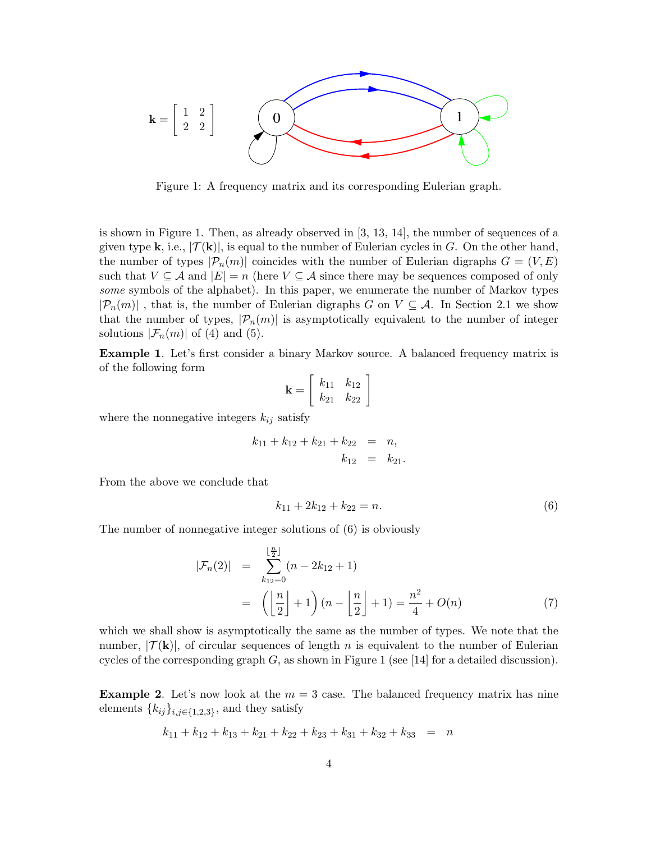

Figure 1: A frequency matrix and its corresponding Eulerian graph.

is shown in Figure 1. Then, as already observed in [3, 13, 14], the number of sequences of a given type **k**, i.e.,  $|\mathcal{T}(\mathbf{k})|$ , is equal to the number of Eulerian cycles in G. On the other hand, the number of types  $|\mathcal{P}_n(m)|$  coincides with the number of Eulerian digraphs  $G = (V, E)$ such that  $V \subseteq \mathcal{A}$  and  $|E| = n$  (here  $V \subseteq \mathcal{A}$  since there may be sequences composed of only some symbols of the alphabet). In this paper, we enumerate the number of Markov types  $|\mathcal{P}_n(m)|$ , that is, the number of Eulerian digraphs G on  $V \subseteq \mathcal{A}$ . In Section 2.1 we show that the number of types,  $|\mathcal{P}_n(m)|$  is asymptotically equivalent to the number of integer solutions  $|\mathcal{F}_n(m)|$  of (4) and (5).

Example 1. Let's first consider a binary Markov source. A balanced frequency matrix is of the following form

$$
\mathbf{k} = \left[ \begin{array}{cc} k_{11} & k_{12} \\ k_{21} & k_{22} \end{array} \right]
$$

where the nonnegative integers  $k_{ij}$  satisfy

$$
k_{11} + k_{12} + k_{21} + k_{22} = n,
$$
  

$$
k_{12} = k_{21}.
$$

From the above we conclude that

$$
k_{11} + 2k_{12} + k_{22} = n.\t\t(6)
$$

The number of nonnegative integer solutions of (6) is obviously

$$
|\mathcal{F}_n(2)| = \sum_{k_{12}=0}^{\lfloor \frac{n}{2} \rfloor} (n - 2k_{12} + 1)
$$
  
= 
$$
\left( \left\lfloor \frac{n}{2} \right\rfloor + 1 \right) (n - \left\lfloor \frac{n}{2} \right\rfloor + 1) = \frac{n^2}{4} + O(n)
$$
 (7)

which we shall show is asymptotically the same as the number of types. We note that the number,  $|\mathcal{T}(\mathbf{k})|$ , of circular sequences of length n is equivalent to the number of Eulerian cycles of the corresponding graph  $G$ , as shown in Figure 1 (see [14] for a detailed discussion).

**Example 2.** Let's now look at the  $m = 3$  case. The balanced frequency matrix has nine elements  ${k_{ij}}_{i,j \in \{1,2,3\}}$ , and they satisfy

$$
k_{11} + k_{12} + k_{13} + k_{21} + k_{22} + k_{23} + k_{31} + k_{32} + k_{33} = n
$$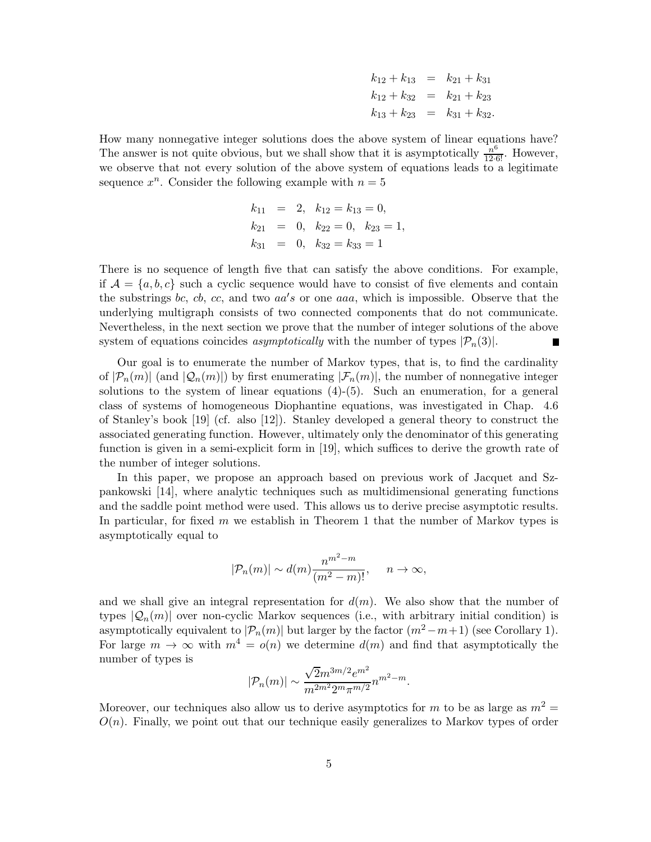| $k_{12} + k_{13} = k_{21} + k_{31}$ |                                      |
|-------------------------------------|--------------------------------------|
|                                     | $k_{12} + k_{32} = k_{21} + k_{23}$  |
|                                     | $k_{13} + k_{23} = k_{31} + k_{32}.$ |

How many nonnegative integer solutions does the above system of linear equations have? The answer is not quite obvious, but we shall show that it is asymptotically  $\frac{n^6}{12 \cdot 6!}$ . However, we observe that not every solution of the above system of equations leads to a legitimate sequence  $x^n$ . Consider the following example with  $n = 5$ 

$$
k_{11} = 2, k_{12} = k_{13} = 0,
$$
  
\n
$$
k_{21} = 0, k_{22} = 0, k_{23} = 1,
$$
  
\n
$$
k_{31} = 0, k_{32} = k_{33} = 1
$$

There is no sequence of length five that can satisfy the above conditions. For example, if  $A = \{a, b, c\}$  such a cyclic sequence would have to consist of five elements and contain the substrings bc, cb, cc, and two  $aa's$  or one aaa, which is impossible. Observe that the underlying multigraph consists of two connected components that do not communicate. Nevertheless, in the next section we prove that the number of integer solutions of the above system of equations coincides *asymptotically* with the number of types  $|\mathcal{P}_n(3)|$ .

Our goal is to enumerate the number of Markov types, that is, to find the cardinality of  $|\mathcal{P}_n(m)|$  (and  $|\mathcal{Q}_n(m)|$ ) by first enumerating  $|\mathcal{F}_n(m)|$ , the number of nonnegative integer solutions to the system of linear equations  $(4)-(5)$ . Such an enumeration, for a general class of systems of homogeneous Diophantine equations, was investigated in Chap. 4.6 of Stanley's book [19] (cf. also [12]). Stanley developed a general theory to construct the associated generating function. However, ultimately only the denominator of this generating function is given in a semi-explicit form in [19], which suffices to derive the growth rate of the number of integer solutions.

In this paper, we propose an approach based on previous work of Jacquet and Szpankowski [14], where analytic techniques such as multidimensional generating functions and the saddle point method were used. This allows us to derive precise asymptotic results. In particular, for fixed m we establish in Theorem 1 that the number of Markov types is asymptotically equal to

$$
|\mathcal{P}_n(m)| \sim d(m) \frac{n^{m^2 - m}}{(m^2 - m)!}, \quad n \to \infty,
$$

and we shall give an integral representation for  $d(m)$ . We also show that the number of types  $|Q_n(m)|$  over non-cyclic Markov sequences (i.e., with arbitrary initial condition) is asymptotically equivalent to  $|\mathcal{P}_n(m)|$  but larger by the factor  $(m^2-m+1)$  (see Corollary 1). For large  $m \to \infty$  with  $m^4 = o(n)$  we determine  $d(m)$  and find that asymptotically the number of types is

$$
|\mathcal{P}_n(m)| \sim \frac{\sqrt{2}m^{3m/2}e^{m^2}}{m^{2m^2}2^m\pi^{m/2}}n^{m^2-m}.
$$

Moreover, our techniques also allow us to derive asymptotics for m to be as large as  $m^2 =$  $O(n)$ . Finally, we point out that our technique easily generalizes to Markov types of order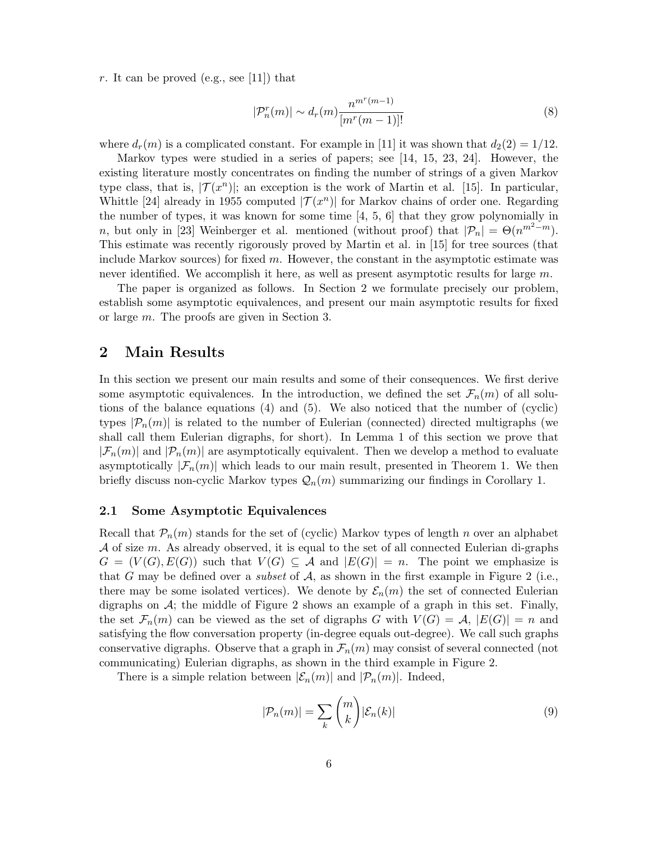r. It can be proved (e.g., see [11]) that

$$
|\mathcal{P}_n^r(m)| \sim d_r(m) \frac{n^{m^r(m-1)}}{[m^r(m-1)]!}
$$
 (8)

where  $d_r(m)$  is a complicated constant. For example in [11] it was shown that  $d_2(2) = 1/12$ .

Markov types were studied in a series of papers; see [14, 15, 23, 24]. However, the existing literature mostly concentrates on finding the number of strings of a given Markov type class, that is,  $|\mathcal{T}(x^n)|$ ; an exception is the work of Martin et al. [15]. In particular, Whittle [24] already in 1955 computed  $|\mathcal{T}(x^n)|$  for Markov chains of order one. Regarding the number of types, it was known for some time  $[4, 5, 6]$  that they grow polynomially in n, but only in [23] Weinberger et al. mentioned (without proof) that  $|\mathcal{P}_n| = \Theta(n^{m^2-m})$ . This estimate was recently rigorously proved by Martin et al. in [15] for tree sources (that include Markov sources) for fixed  $m$ . However, the constant in the asymptotic estimate was never identified. We accomplish it here, as well as present asymptotic results for large m.

The paper is organized as follows. In Section 2 we formulate precisely our problem, establish some asymptotic equivalences, and present our main asymptotic results for fixed or large m. The proofs are given in Section 3.

### 2 Main Results

In this section we present our main results and some of their consequences. We first derive some asymptotic equivalences. In the introduction, we defined the set  $\mathcal{F}_n(m)$  of all solutions of the balance equations (4) and (5). We also noticed that the number of (cyclic) types  $|\mathcal{P}_n(m)|$  is related to the number of Eulerian (connected) directed multigraphs (we shall call them Eulerian digraphs, for short). In Lemma 1 of this section we prove that  $|\mathcal{F}_n(m)|$  and  $|\mathcal{P}_n(m)|$  are asymptotically equivalent. Then we develop a method to evaluate asymptotically  $|\mathcal{F}_n(m)|$  which leads to our main result, presented in Theorem 1. We then briefly discuss non-cyclic Markov types  $\mathcal{Q}_n(m)$  summarizing our findings in Corollary 1.

### 2.1 Some Asymptotic Equivalences

Recall that  $\mathcal{P}_n(m)$  stands for the set of (cyclic) Markov types of length n over an alphabet  $A$  of size m. As already observed, it is equal to the set of all connected Eulerian di-graphs  $G = (V(G), E(G))$  such that  $V(G) \subseteq \mathcal{A}$  and  $|E(G)| = n$ . The point we emphasize is that G may be defined over a *subset* of  $A$ , as shown in the first example in Figure 2 (i.e., there may be some isolated vertices). We denote by  $\mathcal{E}_n(m)$  the set of connected Eulerian digraphs on  $A$ ; the middle of Figure 2 shows an example of a graph in this set. Finally, the set  $\mathcal{F}_n(m)$  can be viewed as the set of digraphs G with  $V(G) = \mathcal{A}, |E(G)| = n$  and satisfying the flow conversation property (in-degree equals out-degree). We call such graphs conservative digraphs. Observe that a graph in  $\mathcal{F}_n(m)$  may consist of several connected (not communicating) Eulerian digraphs, as shown in the third example in Figure 2.

There is a simple relation between  $|\mathcal{E}_n(m)|$  and  $|\mathcal{P}_n(m)|$ . Indeed,

$$
|\mathcal{P}_n(m)| = \sum_k \binom{m}{k} |\mathcal{E}_n(k)| \tag{9}
$$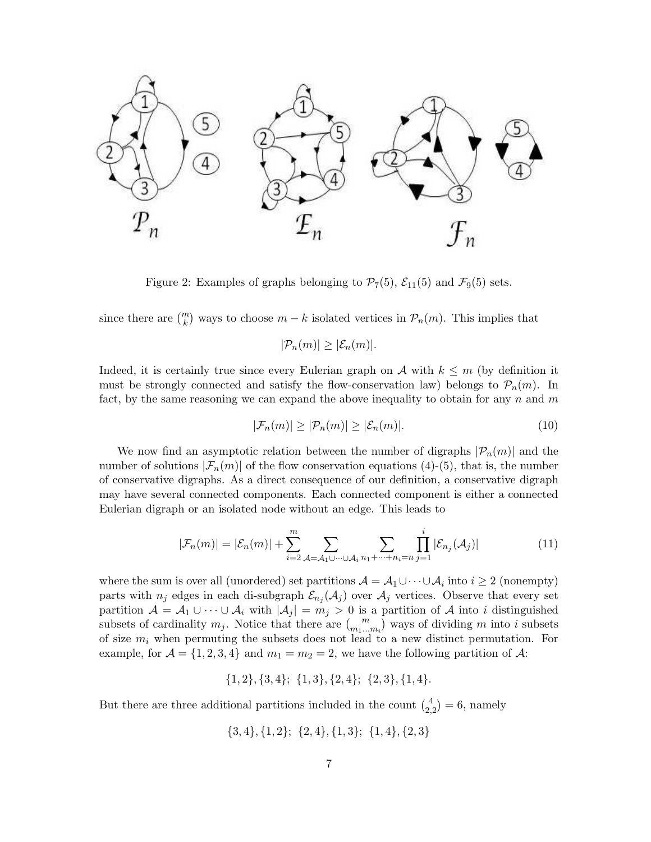

Figure 2: Examples of graphs belonging to  $\mathcal{P}_7(5)$ ,  $\mathcal{E}_{11}(5)$  and  $\mathcal{F}_9(5)$  sets.

since there are  $\binom{m}{k}$  ways to choose  $m - k$  isolated vertices in  $\mathcal{P}_n(m)$ . This implies that

 $|\mathcal{P}_n(m)| \geq |\mathcal{E}_n(m)|$ .

Indeed, it is certainly true since every Eulerian graph on A with  $k \leq m$  (by definition it must be strongly connected and satisfy the flow-conservation law) belongs to  $\mathcal{P}_n(m)$ . In fact, by the same reasoning we can expand the above inequality to obtain for any  $n$  and  $m$ 

$$
|\mathcal{F}_n(m)| \ge |\mathcal{P}_n(m)| \ge |\mathcal{E}_n(m)|. \tag{10}
$$

We now find an asymptotic relation between the number of digraphs  $|\mathcal{P}_n(m)|$  and the number of solutions  $|\mathcal{F}_n(m)|$  of the flow conservation equations (4)-(5), that is, the number of conservative digraphs. As a direct consequence of our definition, a conservative digraph may have several connected components. Each connected component is either a connected Eulerian digraph or an isolated node without an edge. This leads to

$$
|\mathcal{F}_n(m)| = |\mathcal{E}_n(m)| + \sum_{i=2}^m \sum_{\mathcal{A} = \mathcal{A}_1 \cup \dots \cup \mathcal{A}_i} \sum_{n_1 + \dots + n_i = n} \prod_{j=1}^i |\mathcal{E}_{n_j}(\mathcal{A}_j)| \tag{11}
$$

where the sum is over all (unordered) set partitions  $\mathcal{A} = \mathcal{A}_1 \cup \cdots \cup \mathcal{A}_i$  into  $i \geq 2$  (nonempty) parts with  $n_j$  edges in each di-subgraph  $\mathcal{E}_{n_j}(\mathcal{A}_j)$  over  $\mathcal{A}_j$  vertices. Observe that every set partition  $\mathcal{A} = \mathcal{A}_1 \cup \cdots \cup \mathcal{A}_i$  with  $|\mathcal{A}_j| = m_j > 0$  is a partition of  $\mathcal{A}$  into i distinguished subsets of cardinality  $m_j$ . Notice that there are  $\binom{m}{m_1...m_i}$  ways of dividing m into i subsets of size  $m_i$  when permuting the subsets does not lead to a new distinct permutation. For example, for  $\mathcal{A} = \{1, 2, 3, 4\}$  and  $m_1 = m_2 = 2$ , we have the following partition of  $\mathcal{A}$ :

 $\{1, 2\}, \{3, 4\}; \{1, 3\}, \{2, 4\}; \{2, 3\}, \{1, 4\}.$ 

But there are three additional partitions included in the count  $\binom{4}{2,2} = 6$ , namely

 $\{3, 4\}, \{1, 2\}; \{2, 4\}, \{1, 3\}; \{1, 4\}, \{2, 3\}$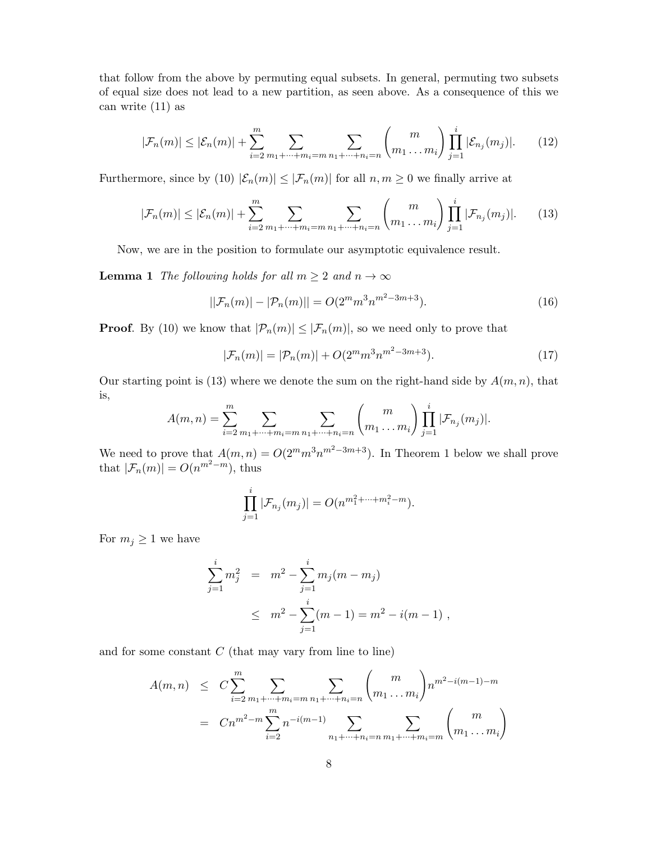that follow from the above by permuting equal subsets. In general, permuting two subsets of equal size does not lead to a new partition, as seen above. As a consequence of this we can write (11) as

$$
|\mathcal{F}_n(m)| \le |\mathcal{E}_n(m)| + \sum_{i=2}^m \sum_{m_1 + \dots + m_i = m} \sum_{n_1 + \dots + n_i = n} \binom{m}{m_1 \dots m_i} \prod_{j=1}^i |\mathcal{E}_{n_j}(m_j)|. \tag{12}
$$

Furthermore, since by (10)  $|\mathcal{E}_n(m)| \leq |\mathcal{F}_n(m)|$  for all  $n, m \geq 0$  we finally arrive at

$$
|\mathcal{F}_n(m)| \le |\mathcal{E}_n(m)| + \sum_{i=2}^m \sum_{m_1 + \dots + m_i = m} \sum_{n_1 + \dots + n_i = n} \binom{m}{m_1 \dots m_i} \prod_{j=1}^i |\mathcal{F}_{n_j}(m_j)|. \tag{13}
$$

Now, we are in the position to formulate our asymptotic equivalence result.

**Lemma 1** The following holds for all  $m \geq 2$  and  $n \to \infty$ 

$$
||\mathcal{F}_n(m)| - |\mathcal{P}_n(m)|| = O(2^m m^3 n^{m^2 - 3m + 3}).
$$
\n(16)

**Proof.** By (10) we know that  $|\mathcal{P}_n(m)| \leq |\mathcal{F}_n(m)|$ , so we need only to prove that

$$
|\mathcal{F}_n(m)| = |\mathcal{P}_n(m)| + O(2^m m^3 n^{m^2 - 3m + 3}). \tag{17}
$$

Our starting point is (13) where we denote the sum on the right-hand side by  $A(m, n)$ , that is,

$$
A(m,n) = \sum_{i=2}^{m} \sum_{m_1 + \dots + m_i = m} \sum_{n_1 + \dots + n_i = n} {m \choose m_1 \dots m_i} \prod_{j=1}^{i} |\mathcal{F}_{n_j}(m_j)|.
$$

We need to prove that  $A(m, n) = O(2^m m^3 n^{m^2-3m+3})$ . In Theorem 1 below we shall prove that  $|\mathcal{F}_n(m)| = O(n^{m^2 - m})$ , thus

$$
\prod_{j=1}^i |\mathcal{F}_{n_j}(m_j)| = O(n^{m_1^2 + \dots + m_i^2 - m}).
$$

For  $m_j \geq 1$  we have

$$
\sum_{j=1}^{i} m_j^2 = m^2 - \sum_{j=1}^{i} m_j (m - m_j)
$$
  
 
$$
\leq m^2 - \sum_{j=1}^{i} (m - 1) = m^2 - i(m - 1) ,
$$

and for some constant  $C$  (that may vary from line to line)

$$
A(m, n) \leq C \sum_{i=2}^{m} \sum_{m_1 + \dots + m_i = m} \sum_{n_1 + \dots + n_i = n} {m \choose m_1 \dots m_i} n^{m^2 - i(m-1) - m}
$$
  
= 
$$
C n^{m^2 - m} \sum_{i=2}^{m} n^{-i(m-1)} \sum_{n_1 + \dots + n_i = n} \sum_{m_1 + \dots + m_i = m} {m \choose m_1 \dots m_i}
$$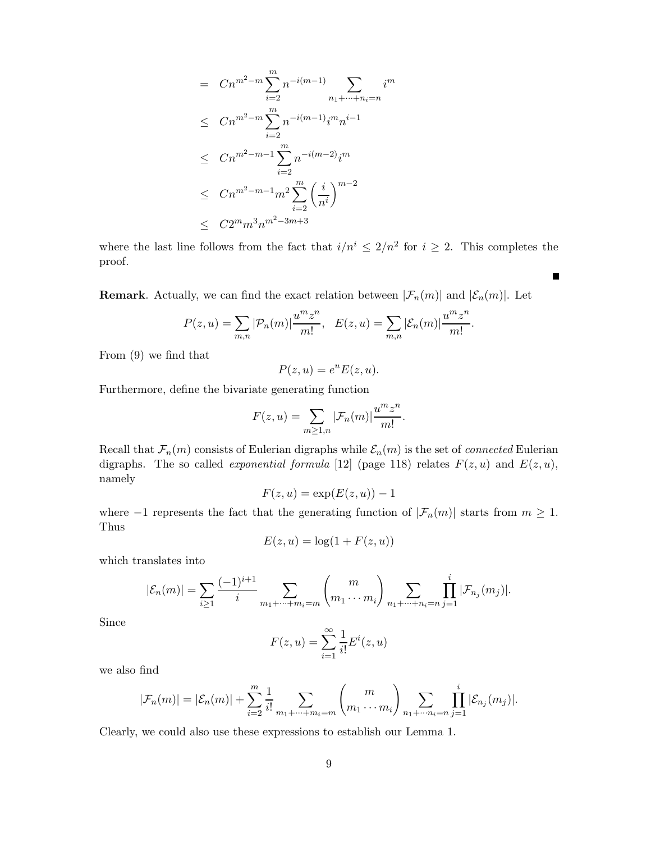$$
= Cn^{m^{2}-m} \sum_{i=2}^{m} n^{-i(m-1)} \sum_{n_{1}+\cdots+n_{i}=n} i^{m}
$$
  
\n
$$
\leq Cn^{m^{2}-m} \sum_{i=2}^{m} n^{-i(m-1)} i^{m} n^{i-1}
$$
  
\n
$$
\leq Cn^{m^{2}-m-1} \sum_{i=2}^{m} n^{-i(m-2)} i^{m}
$$
  
\n
$$
\leq Cn^{m^{2}-m-1} m^{2} \sum_{i=2}^{m} \left(\frac{i}{n^{i}}\right)^{m-2}
$$
  
\n
$$
\leq C2^{m} m^{3} n^{m^{2}-3m+3}
$$

where the last line follows from the fact that  $i/n^i \leq 2/n^2$  for  $i \geq 2$ . This completes the proof.

 $\blacksquare$ 

**Remark**. Actually, we can find the exact relation between  $|\mathcal{F}_n(m)|$  and  $|\mathcal{E}_n(m)|$ . Let

$$
P(z, u) = \sum_{m,n} |\mathcal{P}_n(m)| \frac{u^m z^n}{m!}, \quad E(z, u) = \sum_{m,n} |\mathcal{E}_n(m)| \frac{u^m z^n}{m!}.
$$

From (9) we find that

$$
P(z, u) = e^u E(z, u).
$$

Furthermore, define the bivariate generating function

$$
F(z, u) = \sum_{m \ge 1, n} |\mathcal{F}_n(m)| \frac{u^m z^n}{m!}.
$$

Recall that  $\mathcal{F}_n(m)$  consists of Eulerian digraphs while  $\mathcal{E}_n(m)$  is the set of *connected* Eulerian digraphs. The so called *exponential formula* [12] (page 118) relates  $F(z, u)$  and  $E(z, u)$ , namely

$$
F(z, u) = \exp(E(z, u)) - 1
$$

where  $-1$  represents the fact that the generating function of  $|\mathcal{F}_n(m)|$  starts from  $m \geq 1$ . Thus

$$
E(z, u) = \log(1 + F(z, u))
$$

which translates into

$$
|\mathcal{E}_n(m)| = \sum_{i \geq 1} \frac{(-1)^{i+1}}{i} \sum_{m_1 + \dots + m_i = m} {m \choose m_1 \cdots m_i} \sum_{n_1 + \dots + n_i = n} \prod_{j=1}^i |\mathcal{F}_{n_j}(m_j)|.
$$

Since

$$
F(z, u) = \sum_{i=1}^{\infty} \frac{1}{i!} E^{i}(z, u)
$$

we also find

$$
|\mathcal{F}_n(m)| = |\mathcal{E}_n(m)| + \sum_{i=2}^m \frac{1}{i!} \sum_{m_1 + \dots + m_i = m} \binom{m}{m_1 \cdots m_i} \sum_{n_1 + \dots + n_i = n} \prod_{j=1}^i |\mathcal{E}_{n_j}(m_j)|.
$$

Clearly, we could also use these expressions to establish our Lemma 1.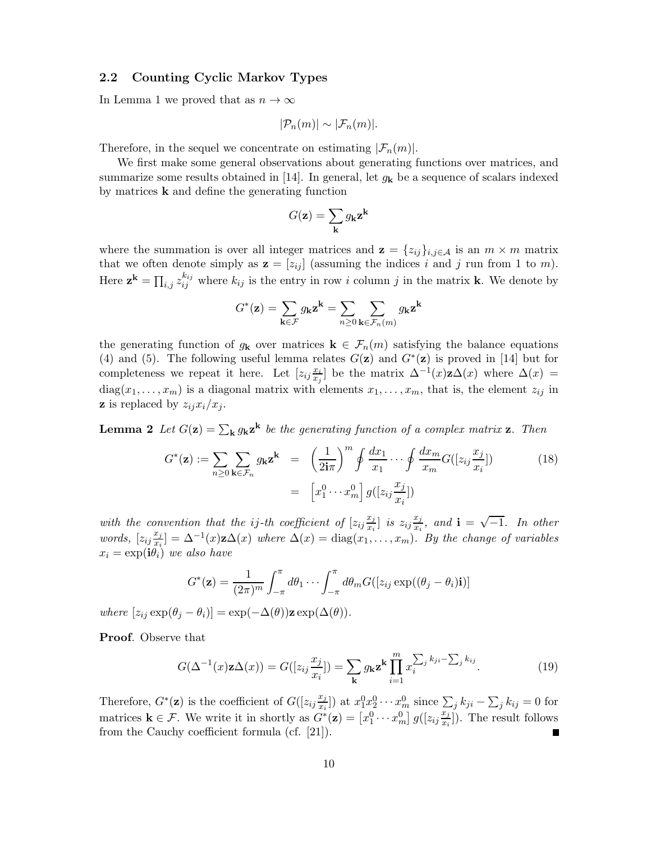### 2.2 Counting Cyclic Markov Types

In Lemma 1 we proved that as  $n \to \infty$ 

$$
|\mathcal{P}_n(m)| \sim |\mathcal{F}_n(m)|.
$$

Therefore, in the sequel we concentrate on estimating  $|\mathcal{F}_n(m)|$ .

We first make some general observations about generating functions over matrices, and summarize some results obtained in [14]. In general, let  $g_k$  be a sequence of scalars indexed by matrices  $k$  and define the generating function

$$
G(\mathbf{z}) = \sum_{\mathbf{k}} g_{\mathbf{k}} \mathbf{z}^{\mathbf{k}}
$$

where the summation is over all integer matrices and  $\mathbf{z} = \{z_{ij}\}_{i,j\in\mathcal{A}}$  is an  $m \times m$  matrix that we often denote simply as  $\mathbf{z} = [z_{ij}]$  (assuming the indices i and j run from 1 to m). Here  $\mathbf{z}^{\mathbf{k}} = \prod_{i,j} z_{ij}^{k_{ij}}$  where  $k_{ij}$  is the entry in row i column j in the matrix **k**. We denote by

$$
G^*(\mathbf{z})=\sum_{\mathbf{k}\in\mathcal{F}}g_\mathbf{k}\mathbf{z}^\mathbf{k}=\sum_{n\geq 0}\sum_{\mathbf{k}\in\mathcal{F}_n(m)}g_\mathbf{k}\mathbf{z}^\mathbf{k}
$$

the generating function of  $g_k$  over matrices  $k \in \mathcal{F}_n(m)$  satisfying the balance equations (4) and (5). The following useful lemma relates  $G(\mathbf{z})$  and  $G^*(\mathbf{z})$  is proved in [14] but for completeness we repeat it here. Let  $[z_{ij}\frac{x_i}{x_i}]$  $\frac{x_i}{x_j}$  be the matrix  $\Delta^{-1}(x)$ **z** $\Delta(x)$  where  $\Delta(x)$  =  $diag(x_1, \ldots, x_m)$  is a diagonal matrix with elements  $x_1, \ldots, x_m$ , that is, the element  $z_{ij}$  in **z** is replaced by  $z_{ij}x_i/x_j$ .

**Lemma 2** Let  $G(\mathbf{z}) = \sum_{\mathbf{k}} g_{\mathbf{k}} \mathbf{z}^{\mathbf{k}}$  be the generating function of a complex matrix **z**. Then

$$
G^*(\mathbf{z}) := \sum_{n\geq 0} \sum_{\mathbf{k}\in\mathcal{F}_n} g_{\mathbf{k}} \mathbf{z}^{\mathbf{k}} = \left(\frac{1}{2\mathbf{i}\pi}\right)^m \oint \frac{dx_1}{x_1} \cdots \oint \frac{dx_m}{x_m} G([z_{ij}\frac{x_j}{x_i}])
$$
(18)  

$$
= [x_1^0 \cdots x_m^0] g([z_{ij}\frac{x_j}{x_i}])
$$

with the convention that the ij-th coefficient of  $[z_{ij}\frac{x_j}{x_i}]$  $\left[\frac{x_j}{x_i}\right]$  is  $z_{ij}\frac{x_j}{x_i}$  $\frac{x_j}{x_i}$ , and  $\mathbf{i} = \sqrt{-1}$ . In other words,  $[z_{ij}\frac{x_j}{x_i}]$  $\frac{x_j}{x_i}$ ] =  $\Delta^{-1}(x)$ **z** $\Delta(x)$  where  $\Delta(x)$  = diag $(x_1, \ldots, x_m)$ . By the change of variables  $x_i = \exp(i\theta_i)$  we also have

$$
G^*(\mathbf{z}) = \frac{1}{(2\pi)^m} \int_{-\pi}^{\pi} d\theta_1 \cdots \int_{-\pi}^{\pi} d\theta_m G([z_{ij} \exp((\theta_j - \theta_i)\mathbf{i})])
$$

where  $[z_{ij} \exp(\theta_j - \theta_i)] = \exp(-\Delta(\theta))\mathbf{z} \exp(\Delta(\theta)).$ 

Proof. Observe that

$$
G(\Delta^{-1}(x)\mathbf{z}\Delta(x)) = G([z_{ij}\frac{x_j}{x_i}]) = \sum_{\mathbf{k}} g_{\mathbf{k}} \mathbf{z}^{\mathbf{k}} \prod_{i=1}^{m} x_i^{\sum_j k_{ji} - \sum_j k_{ij}}.
$$
 (19)

Therefore,  $G^*(\mathbf{z})$  is the coefficient of  $G([z_{ij}\frac{x_j}{x_i}])$  $\left( \frac{x_j}{x_i} \right)$  at  $x_1^0 x_2^0 \cdots x_m^0$  since  $\sum_j k_{ji} - \sum_j k_{ij} = 0$  for matrices  $\mathbf{k} \in \mathcal{F}$ . We write it in shortly as  $G^*(\mathbf{z}) = [x_1^0 \cdots x_m^0] g([z_{ij}\frac{x_j}{x_i}])$  $\frac{x_j}{x_i}$ ). The result follows from the Cauchy coefficient formula (cf. [21]).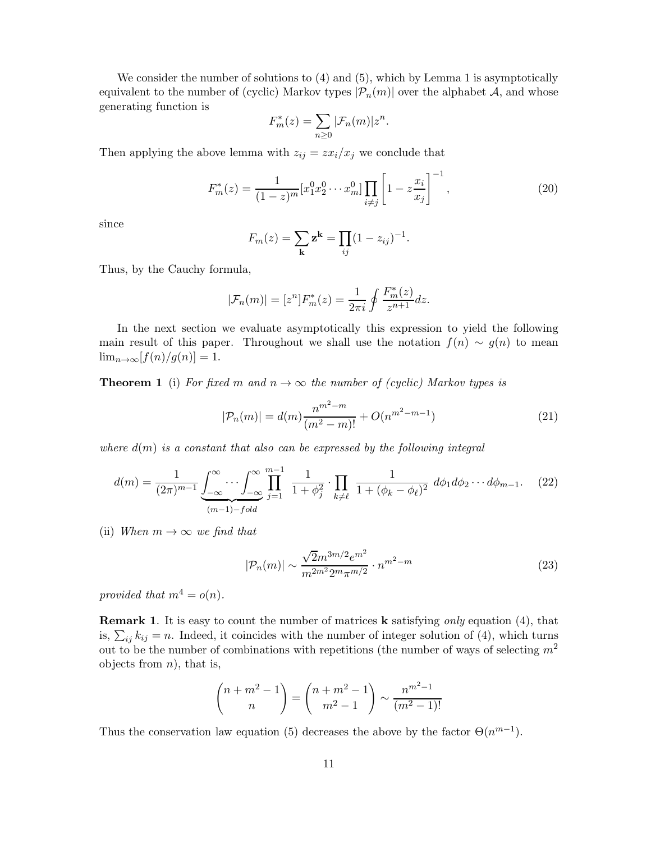We consider the number of solutions to  $(4)$  and  $(5)$ , which by Lemma 1 is asymptotically equivalent to the number of (cyclic) Markov types  $|\mathcal{P}_n(m)|$  over the alphabet A, and whose generating function is

$$
F_m^*(z) = \sum_{n\geq 0} |\mathcal{F}_n(m)| z^n.
$$

Then applying the above lemma with  $z_{ij} = z x_i/x_j$  we conclude that

$$
F_m^*(z) = \frac{1}{(1-z)^m} [x_1^0 x_2^0 \cdots x_m^0] \prod_{i \neq j} \left[ 1 - z \frac{x_i}{x_j} \right]^{-1},\tag{20}
$$

since

$$
F_m(z) = \sum_{\mathbf{k}} \mathbf{z}^{\mathbf{k}} = \prod_{ij} (1 - z_{ij})^{-1}.
$$

Thus, by the Cauchy formula,

$$
|\mathcal{F}_n(m)| = [z^n]F_m^*(z) = \frac{1}{2\pi i} \oint \frac{F_m^*(z)}{z^{n+1}} dz.
$$

In the next section we evaluate asymptotically this expression to yield the following main result of this paper. Throughout we shall use the notation  $f(n) \sim g(n)$  to mean  $\lim_{n\to\infty} [f(n)/g(n)] = 1.$ 

**Theorem 1** (i) For fixed m and  $n \to \infty$  the number of (cyclic) Markov types is

$$
|\mathcal{P}_n(m)| = d(m)\frac{n^{m^2 - m}}{(m^2 - m)!} + O(n^{m^2 - m - 1})
$$
\n(21)

where  $d(m)$  is a constant that also can be expressed by the following integral

$$
d(m) = \frac{1}{(2\pi)^{m-1}} \underbrace{\int_{-\infty}^{\infty} \cdots \int_{-\infty}^{\infty} \prod_{j=1}^{m-1} \frac{1}{1 + \phi_j^2} \cdot \prod_{k \neq \ell} \frac{1}{1 + (\phi_k - \phi_\ell)^2} d\phi_1 d\phi_2 \cdots d\phi_{m-1}}_{(m-1) - fold} \tag{22}
$$

(ii) When  $m \to \infty$  we find that

$$
|\mathcal{P}_n(m)| \sim \frac{\sqrt{2}m^{3m/2}e^{m^2}}{m^{2m^2}2^m\pi^{m/2}} \cdot n^{m^2 - m}
$$
 (23)

provided that  $m^4 = o(n)$ .

**Remark 1.** It is easy to count the number of matrices **k** satisfying *only* equation (4), that is,  $\sum_{ij} k_{ij} = n$ . Indeed, it coincides with the number of integer solution of (4), which turns out to be the number of combinations with repetitions (the number of ways of selecting  $m^2$ objects from  $n$ , that is,

$$
\binom{n+m^2-1}{n} = \binom{n+m^2-1}{m^2-1} \sim \frac{n^{m^2-1}}{(m^2-1)!}
$$

Thus the conservation law equation (5) decreases the above by the factor  $\Theta(n^{m-1})$ .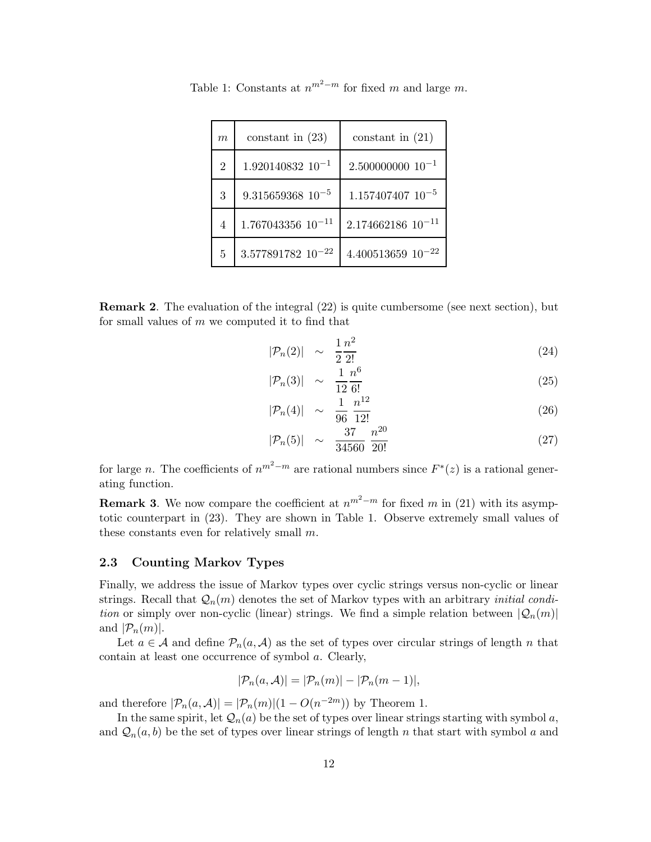| $\boldsymbol{m}$ | constant in $(23)$       | constant in $(21)$       |
|------------------|--------------------------|--------------------------|
| $\mathfrak{D}$   | $1.920140832$ $10^{-1}$  | $2.500000000010^{-1}$    |
| 3                | $9.315659368$ $10^{-5}$  | $1.157407407$ $10^{-5}$  |
| $\overline{4}$   | $1.767043356$ $10^{-11}$ | $2.174662186$ $10^{-11}$ |
| 5                | $3.577891782$ $10^{-22}$ | $4.400513659$ $10^{-22}$ |

Table 1: Constants at  $n^{m^2-m}$  for fixed m and large m.

Remark 2. The evaluation of the integral (22) is quite cumbersome (see next section), but for small values of  $m$  we computed it to find that

$$
|\mathcal{P}_n(2)| \sim \frac{1}{2} \frac{n^2}{2!} \tag{24}
$$

$$
|\mathcal{P}_n(3)| \sim \frac{1}{12} \frac{n^6}{6!} \tag{25}
$$

$$
|\mathcal{P}_n(4)| \sim \frac{1}{96} \frac{n^{12}}{12!} \tag{26}
$$

$$
|\mathcal{P}_n(5)| \sim \frac{37}{34560} \frac{n^{20}}{20!} \tag{27}
$$

for large *n*. The coefficients of  $n^{m^2-m}$  are rational numbers since  $F^*(z)$  is a rational generating function.

**Remark 3.** We now compare the coefficient at  $n^{m^2-m}$  for fixed m in (21) with its asymptotic counterpart in (23). They are shown in Table 1. Observe extremely small values of these constants even for relatively small  $m$ .

### 2.3 Counting Markov Types

Finally, we address the issue of Markov types over cyclic strings versus non-cyclic or linear strings. Recall that  $\mathcal{Q}_n(m)$  denotes the set of Markov types with an arbitrary *initial condi*tion or simply over non-cyclic (linear) strings. We find a simple relation between  $|Q_n(m)|$ and  $|\mathcal{P}_n(m)|$ .

Let  $a \in \mathcal{A}$  and define  $\mathcal{P}_n(a, \mathcal{A})$  as the set of types over circular strings of length n that contain at least one occurrence of symbol a. Clearly,

$$
|\mathcal{P}_n(a,\mathcal{A})| = |\mathcal{P}_n(m)| - |\mathcal{P}_n(m-1)|,
$$

and therefore  $|\mathcal{P}_n(a,\mathcal{A})| = |\mathcal{P}_n(m)|(1 - O(n^{-2m}))$  by Theorem 1.

In the same spirit, let  $\mathcal{Q}_n(a)$  be the set of types over linear strings starting with symbol a, and  $\mathcal{Q}_n(a, b)$  be the set of types over linear strings of length n that start with symbol a and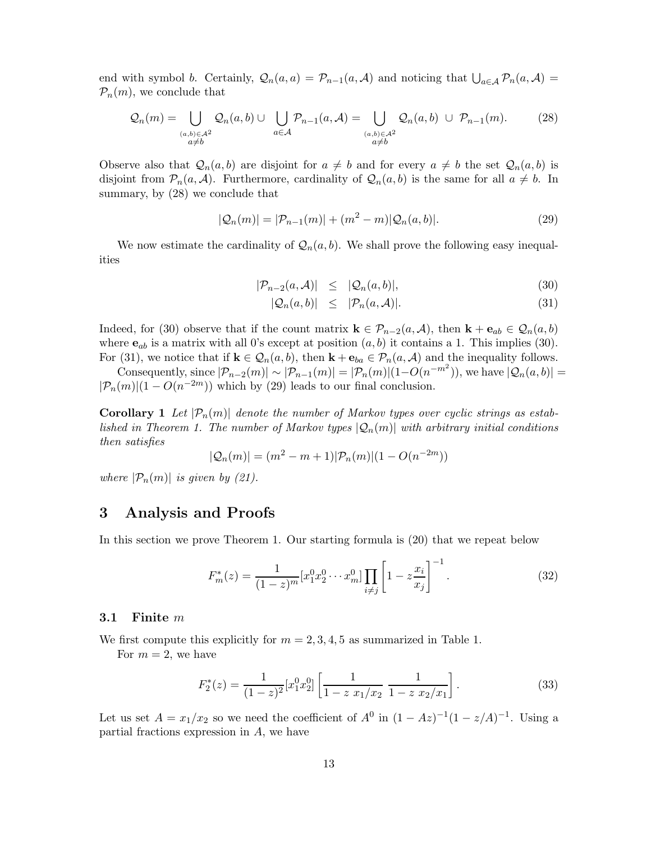end with symbol b. Certainly,  $Q_n(a, a) = \mathcal{P}_{n-1}(a, \mathcal{A})$  and noticing that  $\bigcup_{a \in \mathcal{A}} \mathcal{P}_n(a, \mathcal{A}) =$  $P_n(m)$ , we conclude that

$$
\mathcal{Q}_n(m) = \bigcup_{\substack{(a,b)\in\mathcal{A}^2\\a\neq b}} \mathcal{Q}_n(a,b) \cup \bigcup_{a\in\mathcal{A}} \mathcal{P}_{n-1}(a,\mathcal{A}) = \bigcup_{\substack{(a,b)\in\mathcal{A}^2\\a\neq b}} \mathcal{Q}_n(a,b) \cup \mathcal{P}_{n-1}(m). \tag{28}
$$

Observe also that  $\mathcal{Q}_n(a, b)$  are disjoint for  $a \neq b$  and for every  $a \neq b$  the set  $\mathcal{Q}_n(a, b)$  is disjoint from  $\mathcal{P}_n(a, \mathcal{A})$ . Furthermore, cardinality of  $\mathcal{Q}_n(a, b)$  is the same for all  $a \neq b$ . In summary, by (28) we conclude that

$$
|\mathcal{Q}_n(m)| = |\mathcal{P}_{n-1}(m)| + (m^2 - m)|\mathcal{Q}_n(a, b)|.
$$
 (29)

We now estimate the cardinality of  $\mathcal{Q}_n(a, b)$ . We shall prove the following easy inequalities

$$
|\mathcal{P}_{n-2}(a,\mathcal{A})| \leq |\mathcal{Q}_n(a,b)|,\tag{30}
$$

$$
|\mathcal{Q}_n(a,b)| \leq |\mathcal{P}_n(a,\mathcal{A})|.
$$
 (31)

Indeed, for (30) observe that if the count matrix  $\mathbf{k} \in \mathcal{P}_{n-2}(a, \mathcal{A})$ , then  $\mathbf{k} + \mathbf{e}_{ab} \in \mathcal{Q}_n(a, b)$ where  $e_{ab}$  is a matrix with all 0's except at position  $(a, b)$  it contains a 1. This implies (30). For (31), we notice that if  $\mathbf{k} \in \mathcal{Q}_n(a, b)$ , then  $\mathbf{k} + \mathbf{e}_{ba} \in \mathcal{P}_n(a, \mathcal{A})$  and the inequality follows.

Consequently, since  $|\mathcal{P}_{n-2}(m)| \sim |\mathcal{P}_{n-1}(m)| = |\mathcal{P}_n(m)|(1-O(n^{-m^2}))$ , we have  $|\mathcal{Q}_n(a,b)| =$  $|\mathcal{P}_n(m)|(1 - O(n^{-2m}))$  which by (29) leads to our final conclusion.

**Corollary 1** Let  $|\mathcal{P}_n(m)|$  denote the number of Markov types over cyclic strings as established in Theorem 1. The number of Markov types  $|Q_n(m)|$  with arbitrary initial conditions then satisfies

$$
|\mathcal{Q}_n(m)| = (m^2 - m + 1)|\mathcal{P}_n(m)|(1 - O(n^{-2m}))
$$

where  $|\mathcal{P}_n(m)|$  is given by (21).

### 3 Analysis and Proofs

In this section we prove Theorem 1. Our starting formula is (20) that we repeat below

$$
F_m^*(z) = \frac{1}{(1-z)^m} [x_1^0 x_2^0 \cdots x_m^0] \prod_{i \neq j} \left[ 1 - z \frac{x_i}{x_j} \right]^{-1}.
$$
 (32)

#### 3.1 Finite m

We first compute this explicitly for  $m = 2, 3, 4, 5$  as summarized in Table 1.

For  $m = 2$ , we have

$$
F_2^*(z) = \frac{1}{(1-z)^2} [x_1^0 x_2^0] \left[ \frac{1}{1-z \ x_1/x_2} \ \frac{1}{1-z \ x_2/x_1} \right]. \tag{33}
$$

Let us set  $A = x_1/x_2$  so we need the coefficient of  $A^0$  in  $(1 - Az)^{-1}(1 - z/A)^{-1}$ . Using a partial fractions expression in A, we have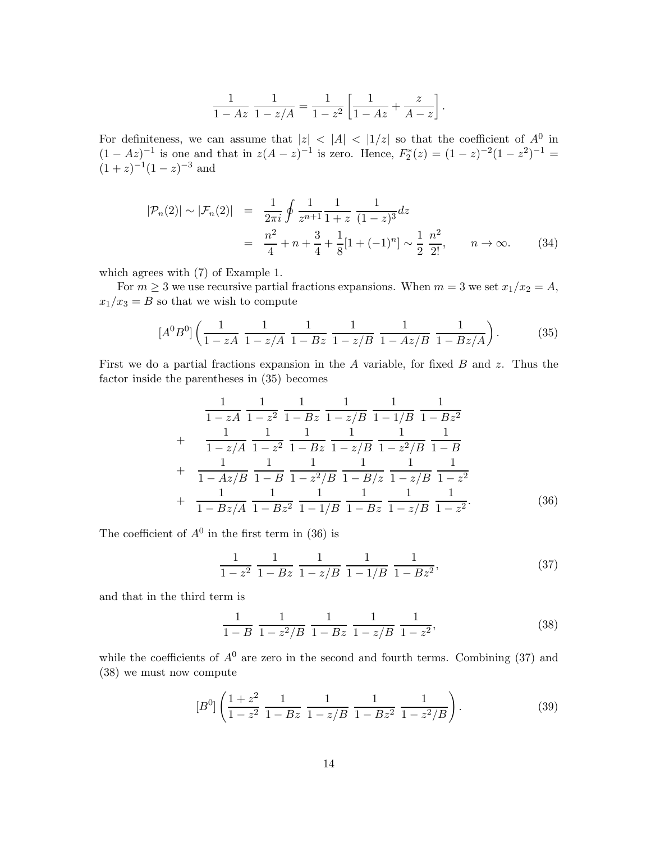$$
\frac{1}{1 - Az} \frac{1}{1 - z/A} = \frac{1}{1 - z^2} \left[ \frac{1}{1 - Az} + \frac{z}{A - z} \right].
$$

For definiteness, we can assume that  $|z| < |A| < |1/z|$  so that the coefficient of  $A^0$  in  $(1 - Az)^{-1}$  is one and that in  $z(A - z)^{-1}$  is zero. Hence,  $F_2^*(z) = (1 - z)^{-2}(1 - z^2)^{-1} =$  $(1+z)^{-1}(1-z)^{-3}$  and

$$
|\mathcal{P}_n(2)| \sim |\mathcal{F}_n(2)| = \frac{1}{2\pi i} \oint \frac{1}{z^{n+1}} \frac{1}{1+z} \frac{1}{(1-z)^3} dz
$$
  
= 
$$
\frac{n^2}{4} + n + \frac{3}{4} + \frac{1}{8} [1 + (-1)^n] \sim \frac{1}{2} \frac{n^2}{2!}, \qquad n \to \infty.
$$
 (34)

which agrees with (7) of Example 1.

For  $m \geq 3$  we use recursive partial fractions expansions. When  $m = 3$  we set  $x_1/x_2 = A$ ,  $x_1/x_3 = B$  so that we wish to compute

$$
[A^{0}B^{0}]\left(\frac{1}{1-zA}\frac{1}{1-z/A}\frac{1}{1-Bz}\frac{1}{1-z/B}\frac{1}{1-Az/B}\frac{1}{1-Bz/A}\right).
$$
 (35)

First we do a partial fractions expansion in the  $A$  variable, for fixed  $B$  and  $z$ . Thus the factor inside the parentheses in (35) becomes

$$
\frac{1}{1-zA} \frac{1}{1-z^2} \frac{1}{1-Bz} \frac{1}{1-z/B} \frac{1}{1-1/B} \frac{1}{1-Bz^2}
$$
  
+ 
$$
\frac{1}{1-z/A} \frac{1}{1-z^2} \frac{1}{1-Bz} \frac{1}{1-z/B} \frac{1}{1-z^2/B} \frac{1}{1-B}
$$
  
+ 
$$
\frac{1}{1-Az/B} \frac{1}{1-B} \frac{1}{1-z^2/B} \frac{1}{1-B/z} \frac{1}{1-z/B} \frac{1}{1-z^2}
$$
  
+ 
$$
\frac{1}{1-Bz/A} \frac{1}{1-Bz^2} \frac{1}{1-1/B} \frac{1}{1-Bz} \frac{1}{1-z/B} \frac{1}{1-z^2}.
$$
 (36)

The coefficient of  $A^0$  in the first term in (36) is

$$
\frac{1}{1-z^2} \frac{1}{1-Bz} \frac{1}{1-z/B} \frac{1}{1-1/B} \frac{1}{1-Bz^2},
$$
(37)

and that in the third term is

$$
\frac{1}{1-B} \frac{1}{1-z^2/B} \frac{1}{1-Bz} \frac{1}{1-z/B} \frac{1}{1-z^2},
$$
\n(38)

while the coefficients of  $A^0$  are zero in the second and fourth terms. Combining (37) and (38) we must now compute

$$
[B0]\left(\frac{1+z^2}{1-z^2}\frac{1}{1-Bz}\frac{1}{1-z/B}\frac{1}{1-Bz^2}\frac{1}{1-z^2/B}\right).
$$
 (39)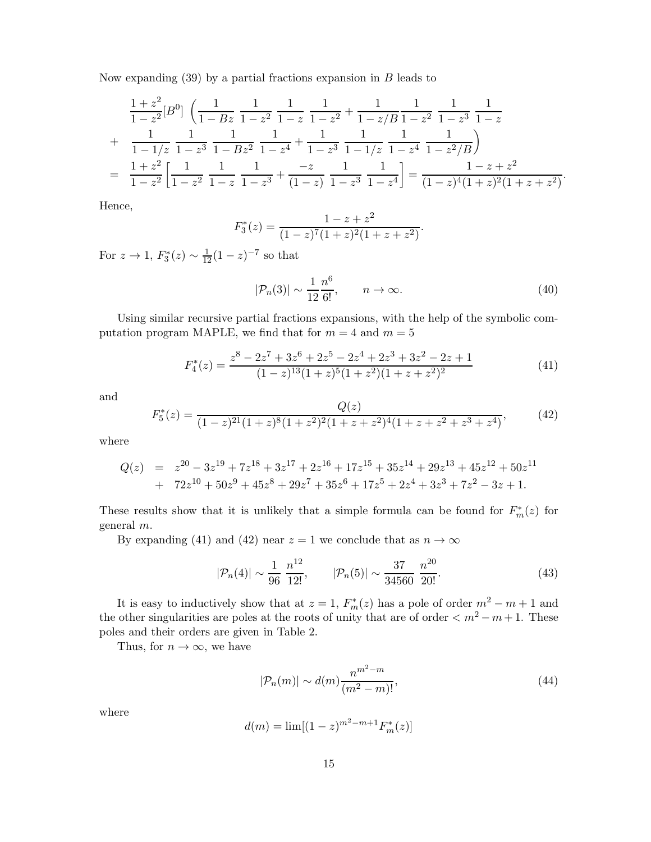Now expanding  $(39)$  by a partial fractions expansion in B leads to

$$
\frac{1+z^2}{1-z^2}[B^0] \left( \frac{1}{1-Bz} \frac{1}{1-z^2} \frac{1}{1-z} \frac{1}{1-z^2} + \frac{1}{1-z/B} \frac{1}{1-z^2} \frac{1}{1-z^3} \frac{1}{1-z} + \frac{1}{1-1/z} \frac{1}{1-z^3} \frac{1}{1-Bz^2} \frac{1}{1-z^4} + \frac{1}{1-z^3} \frac{1}{1-1/z} \frac{1}{1-z^4} \frac{1}{1-z^2/B} \right)
$$
\n
$$
= \frac{1+z^2}{1-z^2} \left[ \frac{1}{1-z^2} \frac{1}{1-z} \frac{1}{1-z^3} + \frac{-z}{(1-z)} \frac{1}{1-z^3} \frac{1}{1-z^4} \right] = \frac{1-z+z^2}{(1-z)^4(1+z)^2(1+z+z^2)}.
$$

Hence,

$$
F_3^*(z) = \frac{1 - z + z^2}{(1 - z)^7 (1 + z)^2 (1 + z + z^2)}.
$$

For  $z \to 1$ ,  $F_3^*(z) \sim \frac{1}{12}(1-z)^{-7}$  so that

$$
|\mathcal{P}_n(3)| \sim \frac{1}{12} \frac{n^6}{6!}, \qquad n \to \infty.
$$
 (40)

Using similar recursive partial fractions expansions, with the help of the symbolic computation program MAPLE, we find that for  $m = 4$  and  $m = 5$ 

$$
F_4^*(z) = \frac{z^8 - 2z^7 + 3z^6 + 2z^5 - 2z^4 + 2z^3 + 3z^2 - 2z + 1}{(1 - z)^{13}(1 + z)^5(1 + z^2)(1 + z + z^2)^2}
$$
(41)

and

$$
F_5^*(z) = \frac{Q(z)}{(1-z)^{21}(1+z)^8(1+z^2)^2(1+z+z^2)^4(1+z+z^2+z^3+z^4)},
$$
(42)

where

$$
Q(z) = z^{20} - 3z^{19} + 7z^{18} + 3z^{17} + 2z^{16} + 17z^{15} + 35z^{14} + 29z^{13} + 45z^{12} + 50z^{11} + 72z^{10} + 50z^9 + 45z^8 + 29z^7 + 35z^6 + 17z^5 + 2z^4 + 3z^3 + 7z^2 - 3z + 1.
$$

These results show that it is unlikely that a simple formula can be found for  $F_m^*(z)$  for general m.

By expanding (41) and (42) near  $z = 1$  we conclude that as  $n \to \infty$ 

$$
|\mathcal{P}_n(4)| \sim \frac{1}{96} \frac{n^{12}}{12!}, \qquad |\mathcal{P}_n(5)| \sim \frac{37}{34560} \frac{n^{20}}{20!}.
$$
 (43)

It is easy to inductively show that at  $z = 1$ ,  $F_m^*(z)$  has a pole of order  $m^2 - m + 1$  and the other singularities are poles at the roots of unity that are of order  $\langle m^2 - m + 1 \rangle$ . These poles and their orders are given in Table 2.

Thus, for  $n \to \infty$ , we have

$$
|\mathcal{P}_n(m)| \sim d(m) \frac{n^{m^2 - m}}{(m^2 - m)!},
$$
\n(44)

where

$$
d(m) = \lim[(1-z)^{m^2 - m + 1} F_m^*(z)]
$$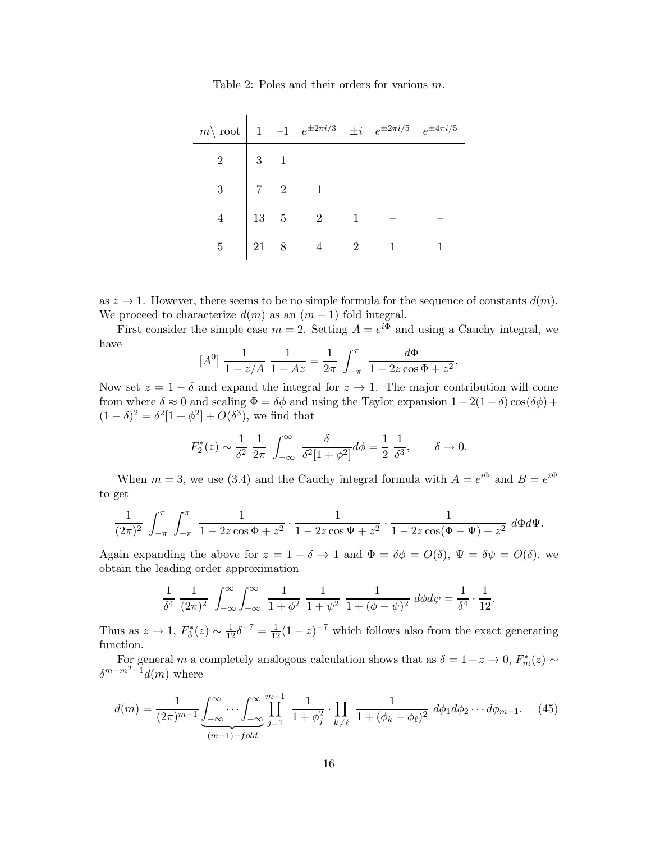| $m\backslash$ root |  |                                                                                                                                            | -1 $e^{\pm 2\pi i/3}$ $\pm i$ $e^{\pm 2\pi i/5}$ $e^{\pm 4\pi i/5}$ |  |
|--------------------|--|--------------------------------------------------------------------------------------------------------------------------------------------|---------------------------------------------------------------------|--|
|                    |  | $\begin{array}{c cccc} 2 & 3 & 1 & - & - \\ 3 & 1 & - & - \\ 3 & 7 & 2 & 1 & - \\ 4 & 13 & 5 & 2 & 1 \\ 5 & 21 & 8 & 4 & 2 \\ \end{array}$ |                                                                     |  |
|                    |  |                                                                                                                                            |                                                                     |  |
|                    |  |                                                                                                                                            |                                                                     |  |
|                    |  |                                                                                                                                            |                                                                     |  |

Table 2: Poles and their orders for various m.

 $\overline{1}$ 

as  $z \to 1$ . However, there seems to be no simple formula for the sequence of constants  $d(m)$ . We proceed to characterize  $d(m)$  as an  $(m-1)$  fold integral.

First consider the simple case  $m = 2$ . Setting  $A = e^{i\Phi}$  and using a Cauchy integral, we have

$$
[A^{0}] \frac{1}{1 - z/A} \frac{1}{1 - Az} = \frac{1}{2\pi} \int_{-\pi}^{\pi} \frac{d\Phi}{1 - 2z\cos\Phi + z^{2}}.
$$

Now set  $z = 1 - \delta$  and expand the integral for  $z \to 1$ . The major contribution will come from where  $\delta \approx 0$  and scaling  $\Phi = \delta \phi$  and using the Taylor expansion  $1 - 2(1 - \delta) \cos(\delta \phi)$  +  $(1 - \delta)^2 = \delta^2 [1 + \phi^2] + O(\delta^3)$ , we find that

$$
F_2^*(z) \sim \frac{1}{\delta^2} \frac{1}{2\pi} \int_{-\infty}^{\infty} \frac{\delta}{\delta^2 [1 + \phi^2]} d\phi = \frac{1}{2} \frac{1}{\delta^3}, \quad \delta \to 0.
$$

When  $m = 3$ , we use (3.4) and the Cauchy integral formula with  $A = e^{i\Phi}$  and  $B = e^{i\Psi}$ to get

$$
\frac{1}{(2\pi)^2} \int_{-\pi}^{\pi} \int_{-\pi}^{\pi} \frac{1}{1 - 2z\cos\Phi + z^2} \cdot \frac{1}{1 - 2z\cos\Psi + z^2} \cdot \frac{1}{1 - 2z\cos(\Phi - \Psi) + z^2} d\Phi d\Psi.
$$

Again expanding the above for  $z = 1 - \delta \to 1$  and  $\Phi = \delta \phi = O(\delta)$ ,  $\Psi = \delta \psi = O(\delta)$ , we obtain the leading order approximation

$$
\frac{1}{\delta^4} \frac{1}{(2\pi)^2} \int_{-\infty}^{\infty} \int_{-\infty}^{\infty} \frac{1}{1+\phi^2} \frac{1}{1+\psi^2} \frac{1}{1+(\phi-\psi)^2} d\phi d\psi = \frac{1}{\delta^4} \cdot \frac{1}{12}.
$$

Thus as  $z \to 1$ ,  $F_3^*(z) \sim \frac{1}{12} \delta^{-7} = \frac{1}{12} (1-z)^{-7}$  which follows also from the exact generating function.

For general m a completely analogous calculation shows that as  $\delta = 1 - z \rightarrow 0$ ,  $F_m^*(z) \sim$  $\delta^{m-m^2-1}d(m)$  where

$$
d(m) = \frac{1}{(2\pi)^{m-1}} \underbrace{\int_{-\infty}^{\infty} \cdots \int_{-\infty}^{\infty} \prod_{j=1}^{m-1} \frac{1}{1 + \phi_j^2} \cdot \prod_{k \neq \ell} \frac{1}{1 + (\phi_k - \phi_\ell)^2} d\phi_1 d\phi_2 \cdots d\phi_{m-1}}_{(m-1) - fold}.
$$
 (45)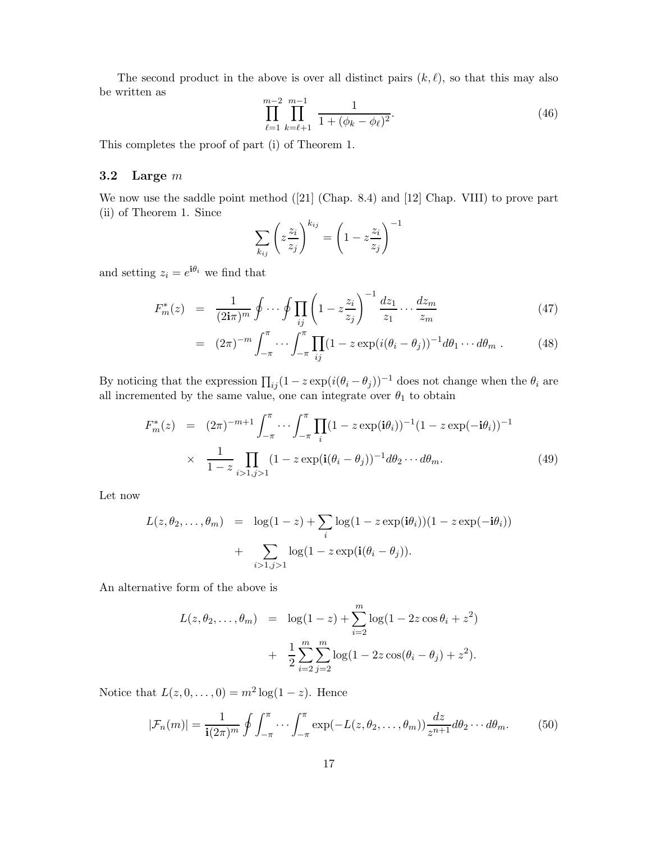The second product in the above is over all distinct pairs  $(k, \ell)$ , so that this may also be written as

$$
\prod_{\ell=1}^{m-2} \prod_{k=\ell+1}^{m-1} \frac{1}{1 + (\phi_k - \phi_\ell)^2}.
$$
\n(46)

This completes the proof of part (i) of Theorem 1.

### 3.2 Large  $m$

We now use the saddle point method ([21] (Chap. 8.4) and [12] Chap. VIII) to prove part (ii) of Theorem 1. Since !−<sup>1</sup>

$$
\sum_{k_{ij}} \left( z \frac{z_i}{z_j} \right)^{k_{ij}} = \left( 1 - z \frac{z_i}{z_j} \right)^{-}
$$

and setting  $z_i = e^{i\theta_i}$  we find that

$$
F_m^*(z) = \frac{1}{(2\mathbf{i}\pi)^m} \oint \cdots \oint \prod_{ij} \left(1 - z\frac{z_i}{z_j}\right)^{-1} \frac{dz_1}{z_1} \cdots \frac{dz_m}{z_m} \tag{47}
$$

$$
= (2\pi)^{-m} \int_{-\pi}^{\pi} \cdots \int_{-\pi}^{\pi} \prod_{ij} (1 - z \exp(i(\theta_i - \theta_j)))^{-1} d\theta_1 \cdots d\theta_m . \qquad (48)
$$

By noticing that the expression  $\prod_{ij} (1 - z \exp(i(\theta_i - \theta_j)))^{-1}$  does not change when the  $\theta_i$  are all incremented by the same value, one can integrate over  $\theta_1$  to obtain

$$
F_m^*(z) = (2\pi)^{-m+1} \int_{-\pi}^{\pi} \cdots \int_{-\pi}^{\pi} \prod_i (1 - z \exp(i\theta_i))^{-1} (1 - z \exp(-i\theta_i))^{-1}
$$
  
 
$$
\times \frac{1}{1 - z} \prod_{i > 1, j > 1} (1 - z \exp(i(\theta_i - \theta_j))^{-1} d\theta_2 \cdots d\theta_m.
$$
 (49)

Let now

$$
L(z, \theta_2, \dots, \theta_m) = \log(1 - z) + \sum_i \log(1 - z \exp(i\theta_i))(1 - z \exp(-i\theta_i)) + \sum_{i > 1, j > 1} \log(1 - z \exp(i(\theta_i - \theta_j)).
$$

An alternative form of the above is

$$
L(z, \theta_2, ..., \theta_m) = \log(1 - z) + \sum_{i=2}^{m} \log(1 - 2z \cos \theta_i + z^2) + \frac{1}{2} \sum_{i=2}^{m} \sum_{j=2}^{m} \log(1 - 2z \cos(\theta_i - \theta_j) + z^2).
$$

Notice that  $L(z, 0, ..., 0) = m^2 \log(1 - z)$ . Hence

$$
|\mathcal{F}_n(m)| = \frac{1}{\mathbf{i}(2\pi)^m} \oint \int_{-\pi}^{\pi} \cdots \int_{-\pi}^{\pi} \exp(-L(z, \theta_2, \dots, \theta_m)) \frac{dz}{z^{n+1}} d\theta_2 \cdots d\theta_m.
$$
 (50)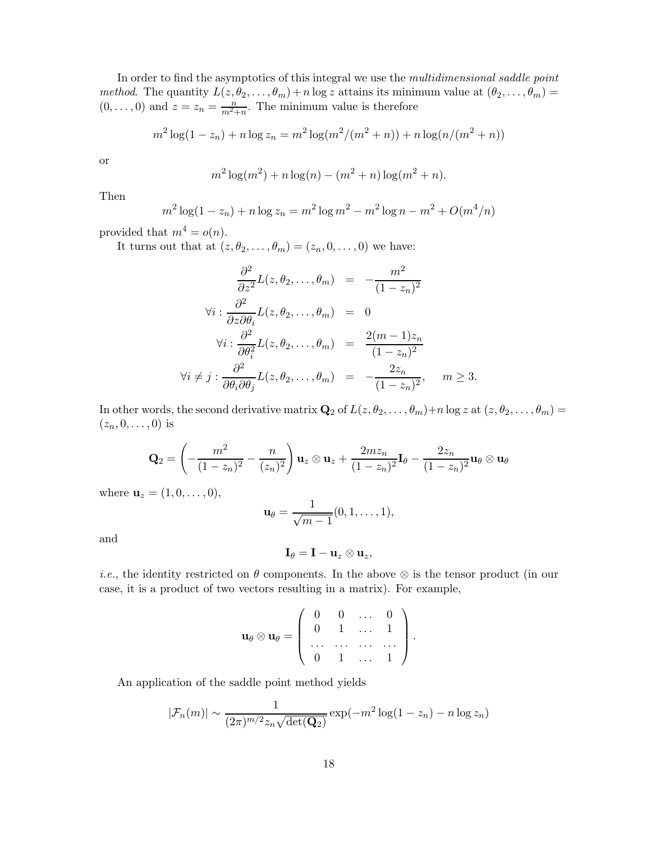In order to find the asymptotics of this integral we use the *multidimensional saddle point* method. The quantity  $L(z, \theta_2, ..., \theta_m) + n \log z$  attains its minimum value at  $(\theta_2, ..., \theta_m) =$  $(0, \ldots, 0)$  and  $z = z_n = \frac{n}{m^2 + n}$ . The minimum value is therefore

$$
m^{2}\log(1-z_{n}) + n\log z_{n} = m^{2}\log(m^{2}/(m^{2}+n)) + n\log(n/(m^{2}+n))
$$

or

$$
m^{2}\log(m^{2}) + n\log(n) - (m^{2} + n)\log(m^{2} + n).
$$

Then

$$
m^{2} \log(1 - z_{n}) + n \log z_{n} = m^{2} \log m^{2} - m^{2} \log n - m^{2} + O(m^{4}/n)
$$

provided that  $m^4 = o(n)$ .

It turns out that at  $(z, \theta_2, \ldots, \theta_m) = (z_n, 0, \ldots, 0)$  we have:

$$
\frac{\partial^2}{\partial z^2} L(z, \theta_2, \dots, \theta_m) = -\frac{m^2}{(1 - z_n)^2}
$$
  
\n
$$
\forall i : \frac{\partial^2}{\partial z \partial \theta_i} L(z, \theta_2, \dots, \theta_m) = 0
$$
  
\n
$$
\forall i : \frac{\partial^2}{\partial \theta_i^2} L(z, \theta_2, \dots, \theta_m) = \frac{2(m - 1)z_n}{(1 - z_n)^2}
$$
  
\n
$$
\forall i \neq j : \frac{\partial^2}{\partial \theta_i \partial \theta_j} L(z, \theta_2, \dots, \theta_m) = -\frac{2z_n}{(1 - z_n)^2}, \quad m \geq 3.
$$

In other words, the second derivative matrix  $\mathbf{Q}_2$  of  $L(z, \theta_2, \dots, \theta_m)+n \log z$  at  $(z, \theta_2, \dots, \theta_m)=$  $(z_n, 0, \ldots, 0)$  is

$$
\mathbf{Q}_2 = \left(-\frac{m^2}{(1-z_n)^2} - \frac{n}{(z_n)^2}\right) \mathbf{u}_z \otimes \mathbf{u}_z + \frac{2mz_n}{(1-z_n)^2} \mathbf{I}_{\theta} - \frac{2z_n}{(1-z_n)^2} \mathbf{u}_{\theta} \otimes \mathbf{u}_{\theta}
$$

where  $$ 

$$
\mathbf{u}_{\theta} = \frac{1}{\sqrt{m-1}}(0,1,\ldots,1),
$$

and

$$
\mathbf{I}_{\theta}=\mathbf{I}-\mathbf{u}_{z}\otimes\mathbf{u}_{z},
$$

*i.e.*, the identity restricted on  $\theta$  components. In the above  $\otimes$  is the tensor product (in our case, it is a product of two vectors resulting in a matrix). For example,

$$
\mathbf{u}_{\theta} \otimes \mathbf{u}_{\theta} = \left( \begin{array}{cccc} 0 & 0 & \dots & 0 \\ 0 & 1 & \dots & 1 \\ \dots & \dots & \dots & \dots \\ 0 & 1 & \dots & 1 \end{array} \right).
$$

An application of the saddle point method yields

$$
|\mathcal{F}_n(m)| \sim \frac{1}{(2\pi)^{m/2} z_n \sqrt{\det(\mathbf{Q}_2)}} \exp(-m^2 \log(1 - z_n) - n \log z_n)
$$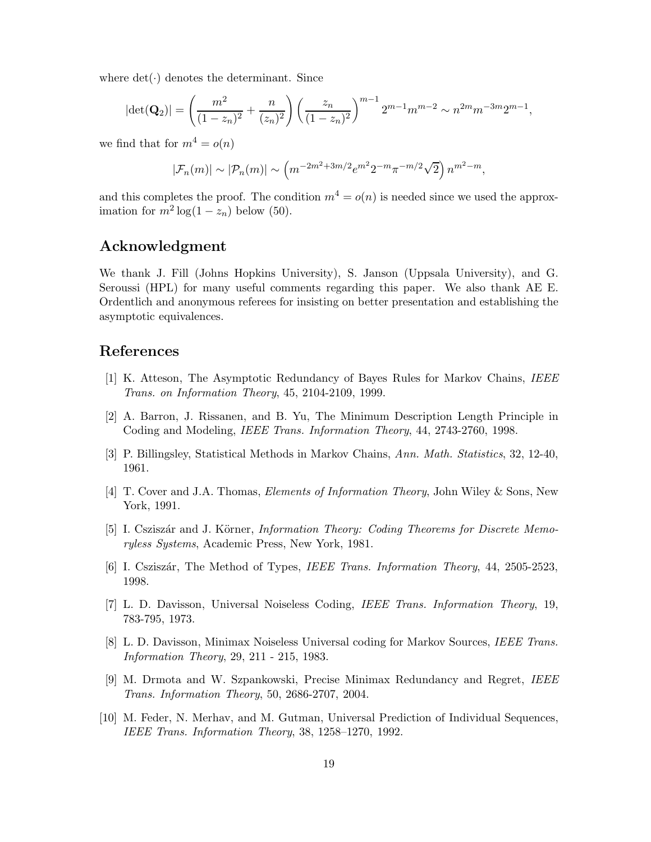where  $det(\cdot)$  denotes the determinant. Since

$$
|\det(\mathbf{Q}_2)| = \left(\frac{m^2}{(1-z_n)^2} + \frac{n}{(z_n)^2}\right) \left(\frac{z_n}{(1-z_n)^2}\right)^{m-1} 2^{m-1} m^{m-2} \sim n^{2m} m^{-3m} 2^{m-1},
$$

we find that for  $m^4 = o(n)$ 

$$
|\mathcal{F}_n(m)| \sim |\mathcal{P}_n(m)| \sim \left( m^{-2m^2 + 3m/2} e^{m^2} 2^{-m} \pi^{-m/2} \sqrt{2} \right) n^{m^2 - m},
$$

and this completes the proof. The condition  $m^4 = o(n)$  is needed since we used the approximation for  $m^2 \log(1 - z_n)$  below (50).

# Acknowledgment

We thank J. Fill (Johns Hopkins University), S. Janson (Uppsala University), and G. Seroussi (HPL) for many useful comments regarding this paper. We also thank AE E. Ordentlich and anonymous referees for insisting on better presentation and establishing the asymptotic equivalences.

### References

- [1] K. Atteson, The Asymptotic Redundancy of Bayes Rules for Markov Chains, IEEE Trans. on Information Theory, 45, 2104-2109, 1999.
- [2] A. Barron, J. Rissanen, and B. Yu, The Minimum Description Length Principle in Coding and Modeling, IEEE Trans. Information Theory, 44, 2743-2760, 1998.
- [3] P. Billingsley, Statistical Methods in Markov Chains, Ann. Math. Statistics, 32, 12-40, 1961.
- [4] T. Cover and J.A. Thomas, Elements of Information Theory, John Wiley & Sons, New York, 1991.
- [5] I. Csziszár and J. Körner, *Information Theory: Coding Theorems for Discrete Memo*ryless Systems, Academic Press, New York, 1981.
- [6] I. Csziszár, The Method of Types, IEEE Trans. Information Theory, 44, 2505-2523, 1998.
- [7] L. D. Davisson, Universal Noiseless Coding, IEEE Trans. Information Theory, 19, 783-795, 1973.
- [8] L. D. Davisson, Minimax Noiseless Universal coding for Markov Sources, IEEE Trans. Information Theory, 29, 211 - 215, 1983.
- [9] M. Drmota and W. Szpankowski, Precise Minimax Redundancy and Regret, IEEE Trans. Information Theory, 50, 2686-2707, 2004.
- [10] M. Feder, N. Merhav, and M. Gutman, Universal Prediction of Individual Sequences, IEEE Trans. Information Theory, 38, 1258–1270, 1992.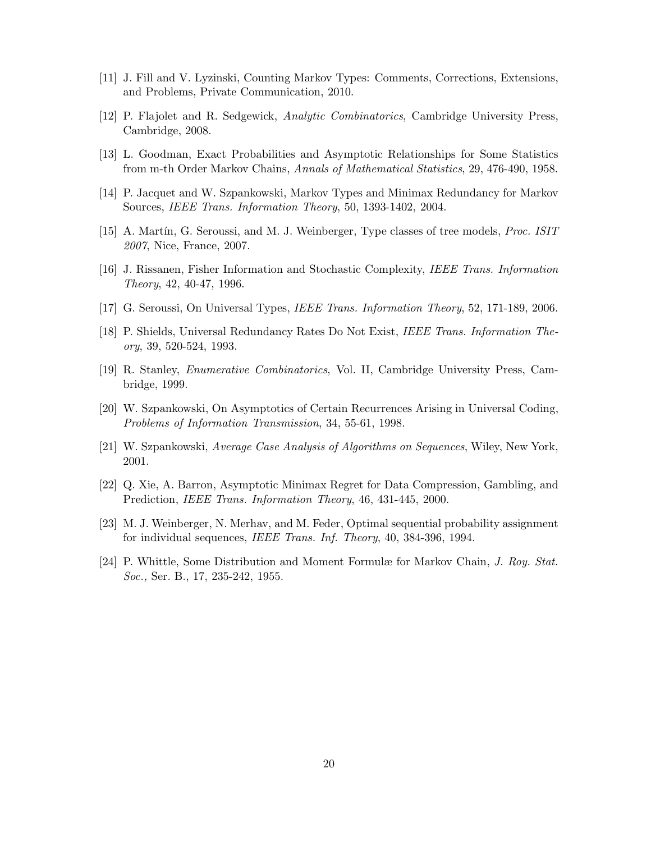- [11] J. Fill and V. Lyzinski, Counting Markov Types: Comments, Corrections, Extensions, and Problems, Private Communication, 2010.
- [12] P. Flajolet and R. Sedgewick, Analytic Combinatorics, Cambridge University Press, Cambridge, 2008.
- [13] L. Goodman, Exact Probabilities and Asymptotic Relationships for Some Statistics from m-th Order Markov Chains, Annals of Mathematical Statistics, 29, 476-490, 1958.
- [14] P. Jacquet and W. Szpankowski, Markov Types and Minimax Redundancy for Markov Sources, IEEE Trans. Information Theory, 50, 1393-1402, 2004.
- [15] A. Martín, G. Seroussi, and M. J. Weinberger, Type classes of tree models, *Proc. ISIT* 2007, Nice, France, 2007.
- [16] J. Rissanen, Fisher Information and Stochastic Complexity, IEEE Trans. Information Theory, 42, 40-47, 1996.
- [17] G. Seroussi, On Universal Types, IEEE Trans. Information Theory, 52, 171-189, 2006.
- [18] P. Shields, Universal Redundancy Rates Do Not Exist, IEEE Trans. Information Theory, 39, 520-524, 1993.
- [19] R. Stanley, Enumerative Combinatorics, Vol. II, Cambridge University Press, Cambridge, 1999.
- [20] W. Szpankowski, On Asymptotics of Certain Recurrences Arising in Universal Coding, Problems of Information Transmission, 34, 55-61, 1998.
- [21] W. Szpankowski, Average Case Analysis of Algorithms on Sequences, Wiley, New York, 2001.
- [22] Q. Xie, A. Barron, Asymptotic Minimax Regret for Data Compression, Gambling, and Prediction, IEEE Trans. Information Theory, 46, 431-445, 2000.
- [23] M. J. Weinberger, N. Merhav, and M. Feder, Optimal sequential probability assignment for individual sequences, IEEE Trans. Inf. Theory, 40, 384-396, 1994.
- [24] P. Whittle, Some Distribution and Moment Formulæ for Markov Chain, J. Roy. Stat. Soc., Ser. B., 17, 235-242, 1955.